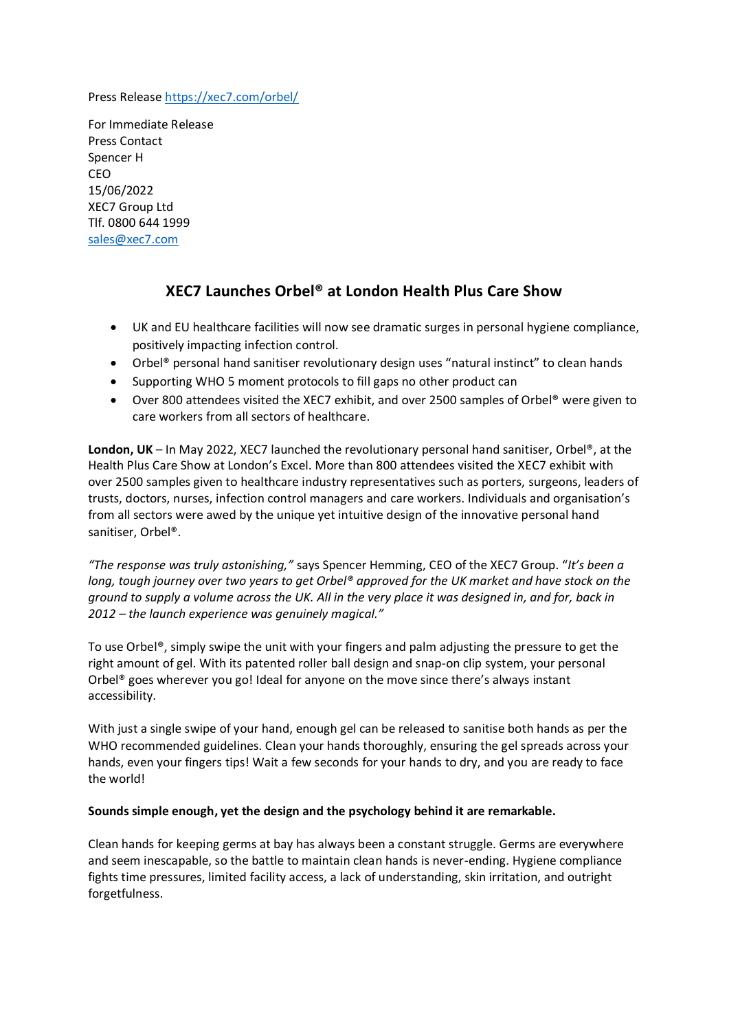Press Release<https://xec7.com/orbel/>

For Immediate Release Press Contact Spencer H CEO 15/06/2022 XEC7 Group Ltd Tlf. 0800 644 1999 [sales@xec7.com](mailto:sales@xec7.com)

## **XEC7 Launches Orbel® at London Health Plus Care Show**

- UK and EU healthcare facilities will now see dramatic surges in personal hygiene compliance, positively impacting infection control.
- Orbel® personal hand sanitiser revolutionary design uses "natural instinct" to clean hands
- Supporting WHO 5 moment protocols to fill gaps no other product can
- Over 800 attendees visited the XEC7 exhibit, and over 2500 samples of Orbel® were given to care workers from all sectors of healthcare.

**London, UK** – In May 2022, XEC7 launched the revolutionary personal hand sanitiser, Orbel®, at the Health Plus Care Show at London's Excel. More than 800 attendees visited the XEC7 exhibit with over 2500 samples given to healthcare industry representatives such as porters, surgeons, leaders of trusts, doctors, nurses, infection control managers and care workers. Individuals and organisation's from all sectors were awed by the unique yet intuitive design of the innovative personal hand sanitiser, Orbel®.

*"The response was truly astonishing,"* says Spencer Hemming, CEO of the XEC7 Group. "*It's been a long, tough journey over two years to get Orbel® approved for the UK market and have stock on the ground to supply a volume across the UK. All in the very place it was designed in, and for, back in 2012 – the launch experience was genuinely magical."*

To use Orbel®, simply swipe the unit with your fingers and palm adjusting the pressure to get the right amount of gel. With its patented roller ball design and snap-on clip system, your personal Orbel® goes wherever you go! Ideal for anyone on the move since there's always instant accessibility.

With just a single swipe of your hand, enough gel can be released to sanitise both hands as per the WHO recommended guidelines. Clean your hands thoroughly, ensuring the gel spreads across your hands, even your fingers tips! Wait a few seconds for your hands to dry, and you are ready to face the world!

## **Sounds simple enough, yet the design and the psychology behind it are remarkable.**

Clean hands for keeping germs at bay has always been a constant struggle. Germs are everywhere and seem inescapable, so the battle to maintain clean hands is never-ending. Hygiene compliance fights time pressures, limited facility access, a lack of understanding, skin irritation, and outright forgetfulness.